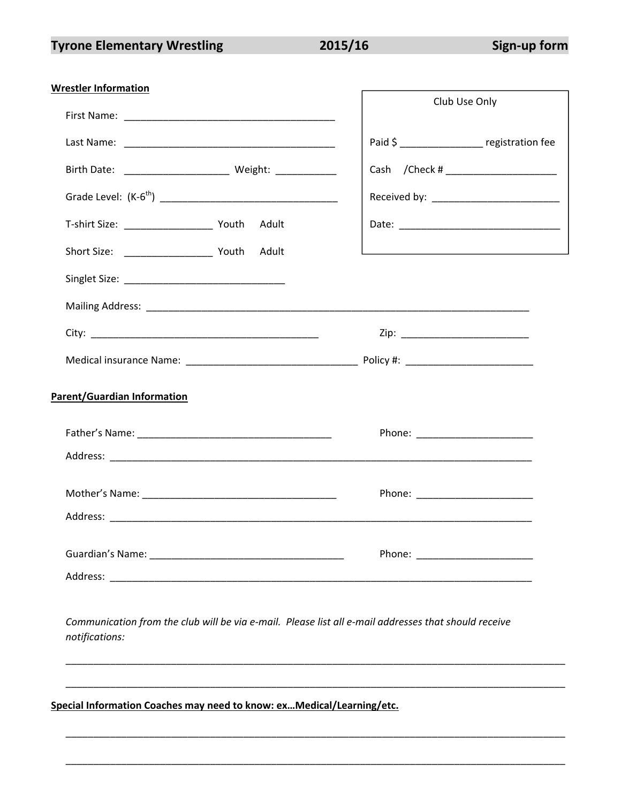2015/16

| <b>Wrestler Information</b>                                                                                            | Club Use Only                                                                             |
|------------------------------------------------------------------------------------------------------------------------|-------------------------------------------------------------------------------------------|
|                                                                                                                        |                                                                                           |
|                                                                                                                        | Paid \$ registration fee                                                                  |
| Birth Date: _________________________ Weight: _____________                                                            | Cash / Check # ______________________                                                     |
|                                                                                                                        |                                                                                           |
| T-shirt Size: ___________________________ Youth Adult                                                                  |                                                                                           |
|                                                                                                                        | the control of the control of the control of the control of the control of the control of |
|                                                                                                                        |                                                                                           |
|                                                                                                                        |                                                                                           |
|                                                                                                                        |                                                                                           |
|                                                                                                                        |                                                                                           |
| Parent/Guardian Information                                                                                            |                                                                                           |
|                                                                                                                        | Phone: <u>www.community.com</u>                                                           |
|                                                                                                                        |                                                                                           |
|                                                                                                                        | Phone: <u>www.community.com</u>                                                           |
|                                                                                                                        |                                                                                           |
|                                                                                                                        | Phone: ________________________                                                           |
|                                                                                                                        |                                                                                           |
| Communication from the club will be via e-mail. Please list all e-mail addresses that should receive<br>notifications: |                                                                                           |

Special Information Coaches may need to know: ex... Medical/Learning/etc.